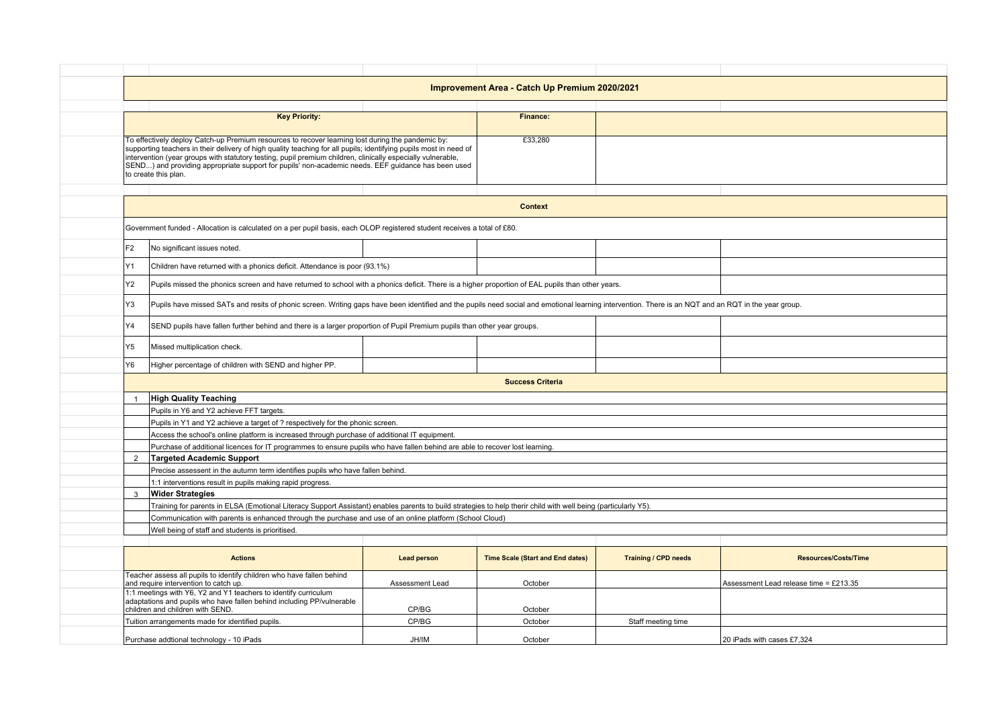| Improvement Area - Catch Up Premium 2020/2021                                                                                                                                                                                                                                                                                                                                                                                                                       |                    |                                         |                             |                                        |  |  |  |
|---------------------------------------------------------------------------------------------------------------------------------------------------------------------------------------------------------------------------------------------------------------------------------------------------------------------------------------------------------------------------------------------------------------------------------------------------------------------|--------------------|-----------------------------------------|-----------------------------|----------------------------------------|--|--|--|
|                                                                                                                                                                                                                                                                                                                                                                                                                                                                     |                    |                                         |                             |                                        |  |  |  |
| <b>Key Priority:</b>                                                                                                                                                                                                                                                                                                                                                                                                                                                |                    | Finance:                                |                             |                                        |  |  |  |
| To effectively deploy Catch-up Premium resources to recover learning lost during the pandemic by:<br>supporting teachers in their delivery of high quality teaching for all pupils; identifying pupils most in need of<br>intervention (year groups with statutory testing, pupil premium children, clinically especially vulnerable,<br>SEND) and providing appropriate support for pupils' non-academic needs. EEF guidance has been used<br>to create this plan. |                    | £33,280                                 |                             |                                        |  |  |  |
|                                                                                                                                                                                                                                                                                                                                                                                                                                                                     |                    |                                         |                             |                                        |  |  |  |
|                                                                                                                                                                                                                                                                                                                                                                                                                                                                     | <b>Context</b>     |                                         |                             |                                        |  |  |  |
| Government funded - Allocation is calculated on a per pupil basis, each OLOP registered student receives a total of £80.                                                                                                                                                                                                                                                                                                                                            |                    |                                         |                             |                                        |  |  |  |
| F <sub>2</sub><br>No significant issues noted.                                                                                                                                                                                                                                                                                                                                                                                                                      |                    |                                         |                             |                                        |  |  |  |
| Y1<br>Children have returned with a phonics deficit. Attendance is poor (93.1%)                                                                                                                                                                                                                                                                                                                                                                                     |                    |                                         |                             |                                        |  |  |  |
| Y2<br>Pupils missed the phonics screen and have returned to school with a phonics deficit. There is a higher proportion of EAL pupils than other years.                                                                                                                                                                                                                                                                                                             |                    |                                         |                             |                                        |  |  |  |
| Y3<br>Pupils have missed SATs and resits of phonic screen. Writing gaps have been identified and the pupils need social and emotional learning intervention. There is an NQT and an RQT in the year group.                                                                                                                                                                                                                                                          |                    |                                         |                             |                                        |  |  |  |
| SEND pupils have fallen further behind and there is a larger proportion of Pupil Premium pupils than other year groups.                                                                                                                                                                                                                                                                                                                                             |                    |                                         |                             |                                        |  |  |  |
| Υ5<br>Missed multiplication check.                                                                                                                                                                                                                                                                                                                                                                                                                                  |                    |                                         |                             |                                        |  |  |  |
| Υ6<br>Higher percentage of children with SEND and higher PP.                                                                                                                                                                                                                                                                                                                                                                                                        |                    |                                         |                             |                                        |  |  |  |
| <b>Success Criteria</b>                                                                                                                                                                                                                                                                                                                                                                                                                                             |                    |                                         |                             |                                        |  |  |  |
| <b>High Quality Teaching</b><br>$\overline{1}$                                                                                                                                                                                                                                                                                                                                                                                                                      |                    |                                         |                             |                                        |  |  |  |
| Pupils in Y6 and Y2 achieve FFT targets.                                                                                                                                                                                                                                                                                                                                                                                                                            |                    |                                         |                             |                                        |  |  |  |
| Pupils in Y1 and Y2 achieve a target of ? respectively for the phonic screen.                                                                                                                                                                                                                                                                                                                                                                                       |                    |                                         |                             |                                        |  |  |  |
| Access the school's online platform is increased through purchase of additional IT equipment.                                                                                                                                                                                                                                                                                                                                                                       |                    |                                         |                             |                                        |  |  |  |
| Purchase of additional licences for IT programmes to ensure pupils who have fallen behind are able to recover lost learning.                                                                                                                                                                                                                                                                                                                                        |                    |                                         |                             |                                        |  |  |  |
| $\overline{2}$<br><b>Targeted Academic Support</b>                                                                                                                                                                                                                                                                                                                                                                                                                  |                    |                                         |                             |                                        |  |  |  |
| Precise assessent in the autumn term identifies pupils who have fallen behind.                                                                                                                                                                                                                                                                                                                                                                                      |                    |                                         |                             |                                        |  |  |  |
| 1:1 interventions result in pupils making rapid progress.                                                                                                                                                                                                                                                                                                                                                                                                           |                    |                                         |                             |                                        |  |  |  |
| $\mathbf{3}$<br><b>Wider Strategies</b>                                                                                                                                                                                                                                                                                                                                                                                                                             |                    |                                         |                             |                                        |  |  |  |
| Training for parents in ELSA (Emotional Literacy Support Assistant) enables parents to build strategies to help therir child with well being (particularly Y5).                                                                                                                                                                                                                                                                                                     |                    |                                         |                             |                                        |  |  |  |
| Communication with parents is enhanced through the purchase and use of an online platform (School Cloud)                                                                                                                                                                                                                                                                                                                                                            |                    |                                         |                             |                                        |  |  |  |
| Well being of staff and students is prioritised.                                                                                                                                                                                                                                                                                                                                                                                                                    |                    |                                         |                             |                                        |  |  |  |
| <b>Actions</b>                                                                                                                                                                                                                                                                                                                                                                                                                                                      | <b>Lead person</b> | <b>Time Scale (Start and End dates)</b> | <b>Training / CPD needs</b> | <b>Resources/Costs/Time</b>            |  |  |  |
| Teacher assess all pupils to identify children who have fallen behind<br>and require intervention to catch up.                                                                                                                                                                                                                                                                                                                                                      | Assessment Lead    | October                                 |                             | Assessment Lead release time = £213.35 |  |  |  |
| 1:1 meetings with Y6, Y2 and Y1 teachers to identify curriculum<br>adaptations and pupils who have fallen behind including PP/vulnerable<br>children and children with SEND.                                                                                                                                                                                                                                                                                        | CP/BG              | October                                 |                             |                                        |  |  |  |
| Tuition arrangements made for identified pupils.                                                                                                                                                                                                                                                                                                                                                                                                                    | CP/BG              | October                                 | Staff meeting time          |                                        |  |  |  |
|                                                                                                                                                                                                                                                                                                                                                                                                                                                                     |                    |                                         |                             |                                        |  |  |  |
| Purchase addtional technology - 10 iPads                                                                                                                                                                                                                                                                                                                                                                                                                            | JH/IM              | October                                 |                             | 20 iPads with cases £7,324             |  |  |  |